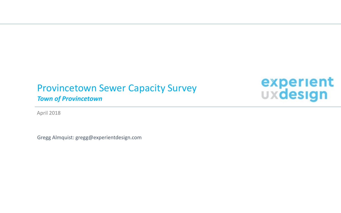# Provincetown Sewer Capacity Survey

*Town of Provincetown*

April 2018

Gregg Almquist: gregg@experientdesign.com

experient<br>**UXdesign**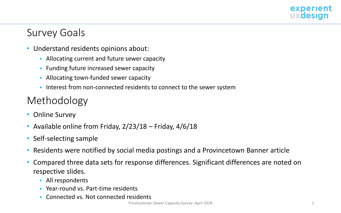

### Survey Goals

- Understand residents opinions about:
	- Allocating current and future sewer capacity
	- **Funding future increased sewer capacity**
	- Allocating town-funded sewer capacity
	- Interest from non-connected residents to connect to the sewer system

# Methodology

- Online Survey
- Available online from Friday, 2/23/18 Friday, 4/6/18
- Self-selecting sample
- Residents were notified by social media postings and a Provincetown Banner article
- Compared three data sets for response differences. Significant differences are noted on respective slides.
	- All respondents
	- Year-round vs. Part-time residents
	- **Connected vs. Not connected residents**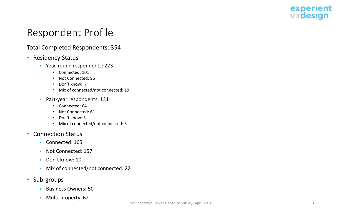

### Respondent Profile

#### Total Completed Respondents: 354

- Residency Status
	- Year-round respondents: 223
		- Connected: 101
		- Not Connected: 96
		- Don't know: 7
		- Mix of connected/not connected: 19
	- Part-year respondents: 131
		- Connected: 64
		- Not Connected: 61
		- Don't know: 3
		- Mix of connected/not connected: 3
- Connection Status
	- Connected: 165
	- Not Connected: 157
	- Don't know: 10
	- Mix of connected/not connected: 22
- Sub-groups
	- **Business Owners: 50**
	- **Multi-property: 62**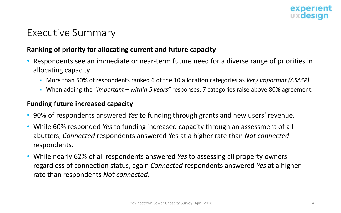

### Executive Summary

### **Ranking of priority for allocating current and future capacity**

- Respondents see an immediate or near-term future need for a diverse range of priorities in allocating capacity
	- More than 50% of respondents ranked 6 of the 10 allocation categories as *Very Important (ASASP)*
	- When adding the "*Important within 5 years"* responses, 7 categories raise above 80% agreement.

### **Funding future increased capacity**

- 90% of respondents answered *Yes* to funding through grants and new users' revenue.
- While 60% responded *Yes* to funding increased capacity through an assessment of all abutters, *Connected* respondents answered Yes at a higher rate than *Not connected*  respondents.
- While nearly 62% of all respondents answered *Yes* to assessing all property owners regardless of connection status, again *Connected* respondents answered *Yes* at a higher rate than respondents *Not connected*.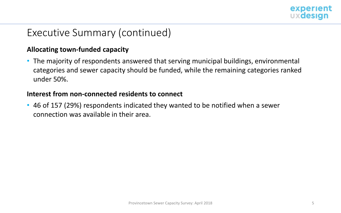

## Executive Summary (continued)

### **Allocating town-funded capacity**

• The majority of respondents answered that serving municipal buildings, environmental categories and sewer capacity should be funded, while the remaining categories ranked under 50%.

### **Interest from non-connected residents to connect**

• 46 of 157 (29%) respondents indicated they wanted to be notified when a sewer connection was available in their area.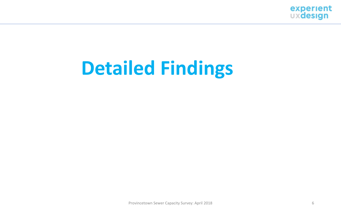

# **Detailed Findings**

Provincetown Sewer Capacity Survey: April 2018 6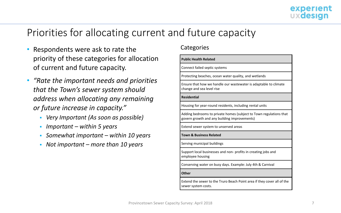- Respondents were ask to rate the priority of these categories for allocation of current and future capacity.
- *"Rate the important needs and priorities that the Town's sewer system should address when allocating any remaining or future increase in capacity."*
	- *Very Important (As soon as possible)*
	- *Important – within 5 years*
	- *Somewhat important – within 10 years*
	- *Not important – more than 10 years*

#### **Categories**

sewer system costs.

| <b>Public Health Related</b>                                                                                       |
|--------------------------------------------------------------------------------------------------------------------|
| Connect failed septic systems                                                                                      |
| Protecting beaches, ocean water quality, and wetlands                                                              |
| Ensure that how we handle our wastewater is adaptable to climate<br>change and sea level rise                      |
| <b>Residential</b>                                                                                                 |
| Housing for year-round residents, including rental units                                                           |
| Adding bedrooms to private homes (subject to Town regulations that<br>govern growth and any building improvements) |
| Extend sewer system to unserved areas                                                                              |
| <b>Town &amp; Business Related</b>                                                                                 |
| Serving municipal buildings                                                                                        |
| Support local businesses and non- profits in creating jobs and<br>employee housing                                 |
| Conserving water on busy days. Example: July 4th & Carnival                                                        |
| Other                                                                                                              |
| Extend the sewer to the Truro Beach Point area if they cover all of the                                            |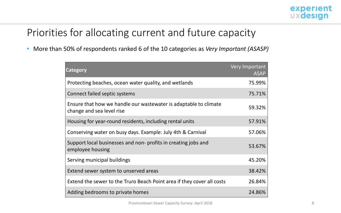• More than 50% of respondents ranked 6 of the 10 categories as *Very Important (ASASP)* 

| <b>Category</b>                                                                               | Very Important<br><b>ASAP</b> |
|-----------------------------------------------------------------------------------------------|-------------------------------|
| Protecting beaches, ocean water quality, and wetlands                                         | 75.99%                        |
| Connect failed septic systems                                                                 | 75.71%                        |
| Ensure that how we handle our wastewater is adaptable to climate<br>change and sea level rise | 59.32%                        |
| Housing for year-round residents, including rental units                                      | 57.91%                        |
| Conserving water on busy days. Example: July 4th & Carnival                                   | 57.06%                        |
| Support local businesses and non-profits in creating jobs and<br>employee housing             | 53.67%                        |
| Serving municipal buildings                                                                   | 45.20%                        |
| Extend sewer system to unserved areas                                                         | 38.42%                        |
| Extend the sewer to the Truro Beach Point area if they cover all costs                        | 26.84%                        |
| Adding bedrooms to private homes                                                              | 24.86%                        |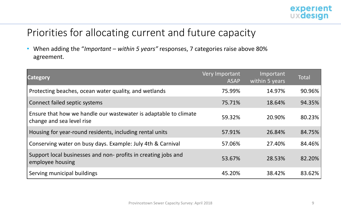

• When adding the "*Important* – *within 5 years"* responses, 7 categories raise above 80% agreement.

| <b>Category</b>                                                                               | Very Important<br><b>ASAP</b> | Important<br>within 5 years | <b>Total</b> |
|-----------------------------------------------------------------------------------------------|-------------------------------|-----------------------------|--------------|
| Protecting beaches, ocean water quality, and wetlands                                         | 75.99%                        | 14.97%                      | 90.96%       |
| Connect failed septic systems                                                                 | 75.71%                        | 18.64%                      | 94.35%       |
| Ensure that how we handle our wastewater is adaptable to climate<br>change and sea level rise | 59.32%                        | 20.90%                      | 80.23%       |
| Housing for year-round residents, including rental units                                      | 57.91%                        | 26.84%                      | 84.75%       |
| Conserving water on busy days. Example: July 4th & Carnival                                   | 57.06%                        | 27.40%                      | 84.46%       |
| Support local businesses and non- profits in creating jobs and<br>employee housing            | 53.67%                        | 28.53%                      | 82.20%       |
| Serving municipal buildings                                                                   | 45.20%                        | 38.42%                      | 83.62%       |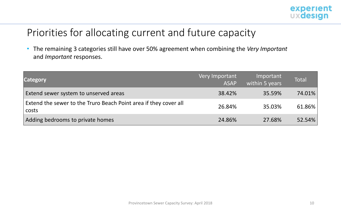

• The remaining 3 categories still have over 50% agreement when combining the *Very Important*  and *Important* responses.

| <b>Category</b>                                                             | Very Important<br><b>ASAP</b> | Important<br>within 5 years | <b>Total</b> |
|-----------------------------------------------------------------------------|-------------------------------|-----------------------------|--------------|
| Extend sewer system to unserved areas                                       | 38.42%                        | 35.59%                      | 74.01%       |
| Extend the sewer to the Truro Beach Point area if they cover all<br>  costs | 26.84%                        | 35.03%                      | 61.86%       |
| Adding bedrooms to private homes                                            | 24.86%                        | 27.68%                      | 52.54%       |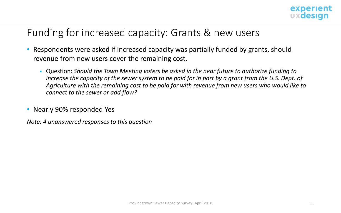

### Funding for increased capacity: Grants & new users

- Respondents were asked if increased capacity was partially funded by grants, should revenue from new users cover the remaining cost.
	- Question: *Should the Town Meeting voters be asked in the near future to authorize funding to increase the capacity of the sewer system to be paid for in part by a grant from the U.S. Dept. of Agriculture with the remaining cost to be paid for with revenue from new users who would like to connect to the sewer or add flow?*
- Nearly 90% responded Yes

*Note: 4 unanswered responses to this question*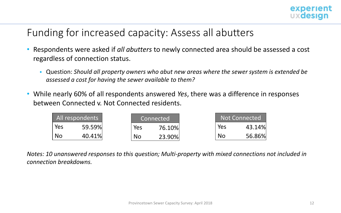

### Funding for increased capacity: Assess all abutters

- Respondents were asked if *all abutters* to newly connected area should be assessed a cost regardless of connection status.
	- Question: *Should all property owners who abut new areas where the sewer system is extended be assessed a cost for having the sewer available to them?*
- While nearly 60% of all respondents answered *Yes*, there was a difference in responses between Connected v. Not Connected residents.

|     | All respondents |     | Connected |     | Not Connected |
|-----|-----------------|-----|-----------|-----|---------------|
| Yes | 59.59%          | Yes | 76.10%    | Yes | 43.14%        |
| No  | 40.41%          | No  | 23.90%    | No  | 56.86%        |

*Notes: 10 unanswered responses to this question; Multi-property with mixed connections not included in connection breakdowns.*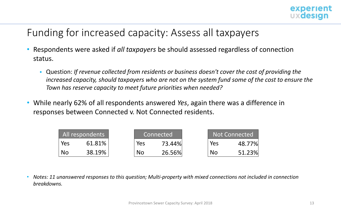

## Funding for increased capacity: Assess all taxpayers

- Respondents were asked if *all taxpayers* be should assessed regardless of connection status.
	- Question: *If revenue collected from residents or business doesn't cover the cost of providing the increased capacity, should taxpayers who are not on the system fund some of the cost to ensure the Town has reserve capacity to meet future priorities when needed?*
- While nearly 62% of all respondents answered *Yes*, again there was a difference in responses between Connected v. Not Connected residents.

|     | All respondents |     | Connected |     | <b>Not Connected</b> |
|-----|-----------------|-----|-----------|-----|----------------------|
| Yes | 61.81%          | Yes | 73.44%    | Yes | 48.77%               |
| No  | 38.19%          | No  | 26.56%    | No  | 51.23%               |

• *Notes: 11 unanswered responses to this question; Multi-property with mixed connections not included in connection breakdowns.*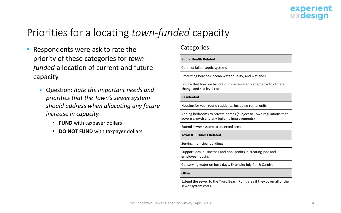# Priorities for allocating *town-funded* capacity

- Respondents were ask to rate the priority of these categories for *townfunded* allocation of current and future capacity.
	- Question: *Rate the important needs and priorities that the Town's sewer system should address when allocating any future increase in capacity.* 
		- **FUND** with taxpayer dollars
		- **DO NOT FUND** with taxpayer dollars

#### **Categories**

sewer system costs.

| <b>Public Health Related</b>                                                                                       |
|--------------------------------------------------------------------------------------------------------------------|
| Connect failed septic systems                                                                                      |
| Protecting beaches, ocean water quality, and wetlands                                                              |
| Ensure that how we handle our wastewater is adaptable to climate<br>change and sea level rise                      |
| <b>Residential</b>                                                                                                 |
| Housing for year-round residents, including rental units                                                           |
| Adding bedrooms to private homes (subject to Town regulations that<br>govern growth and any building improvements) |
| Extend sewer system to unserved areas                                                                              |
| <b>Town &amp; Business Related</b>                                                                                 |
| Serving municipal buildings                                                                                        |
| Support local businesses and non- profits in creating jobs and<br>employee housing                                 |
| Conserving water on busy days. Example: July 4th & Carnival                                                        |
| Other                                                                                                              |
| Extend the sewer to the Truro Beach Point area if they cover all of the                                            |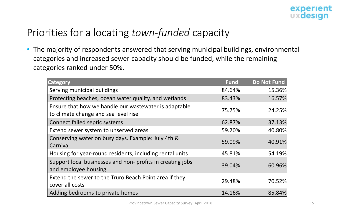# Priorities for allocating *town-funded* capacity

• The majority of respondents answered that serving municipal buildings, environmental categories and increased sewer capacity should be funded, while the remaining categories ranked under 50%.

| <b>Category</b>                                                                               | <b>Fund</b> | <b>Do Not Fund</b> |
|-----------------------------------------------------------------------------------------------|-------------|--------------------|
| Serving municipal buildings                                                                   | 84.64%      | 15.36%             |
| Protecting beaches, ocean water quality, and wetlands                                         | 83.43%      | 16.57%             |
| Ensure that how we handle our wastewater is adaptable<br>to climate change and sea level rise | 75.75%      | 24.25%             |
| Connect failed septic systems                                                                 | 62.87%      | 37.13%             |
| Extend sewer system to unserved areas                                                         | 59.20%      | 40.80%             |
| Conserving water on busy days. Example: July 4th &<br>Carnival                                | 59.09%      | 40.91%             |
| Housing for year-round residents, including rental units                                      | 45.81%      | 54.19%             |
| Support local businesses and non-profits in creating jobs<br>and employee housing             | 39.04%      | 60.96%             |
| Extend the sewer to the Truro Beach Point area if they<br>cover all costs                     | 29.48%      | 70.52%             |
| Adding bedrooms to private homes                                                              | 14.16%      | 85.84%             |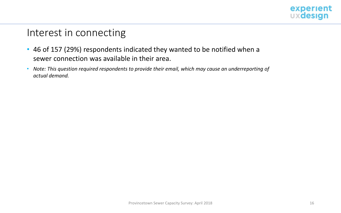

### Interest in connecting

- 46 of 157 (29%) respondents indicated they wanted to be notified when a sewer connection was available in their area.
- *Note: This question required respondents to provide their email, which may cause an underreporting of actual demand.*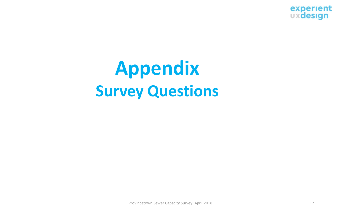

# **Appendix Survey Questions**

Provincetown Sewer Capacity Survey: April 2018 17 17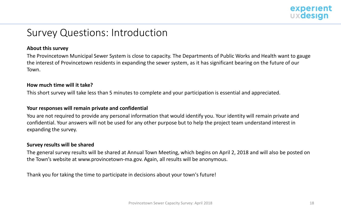

### Survey Questions: Introduction

#### **About this survey**

The Provincetown Municipal Sewer System is close to capacity. The Departments of Public Works and Health want to gauge the interest of Provincetown residents in expanding the sewer system, as it has significant bearing on the future of our Town.

#### **How much time will it take?**

This short survey will take less than 5 minutes to complete and your participation is essential and appreciated.

#### **Your responses will remain private and confidential**

You are not required to provide any personal information that would identify you. Your identity will remain private and confidential. Your answers will not be used for any other purpose but to help the project team understand interest in expanding the survey.

#### **Survey results will be shared**

The general survey results will be shared at Annual Town Meeting, which begins on April 2, 2018 and will also be posted on the Town's website at www.provincetown-ma.gov. Again, all results will be anonymous.

Thank you for taking the time to participate in decisions about your town's future!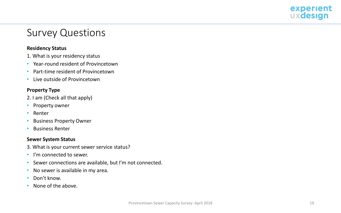

#### **Residency Status**

- 1. What is your residency status
- Year-round resident of Provincetown
- Part-time resident of Provincetown
- Live outside of Provincetown

#### **Property Type**

- 2. I am (Check all that apply)
- Property owner
- Renter
- Business Property Owner
- Business Renter

#### **Sewer System Status**

- 3. What is your current sewer service status?
- I'm connected to sewer.
- Sewer connections are available, but I'm not connected.
- No sewer is available in my area.
- Don't know.
- None of the above.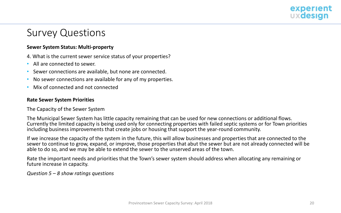

#### **Sewer System Status: Multi-property**

4. What is the current sewer service status of your properties?

- All are connected to sewer.
- Sewer connections are available, but none are connected.
- No sewer connections are available for any of my properties.
- Mix of connected and not connected

#### **Rate Sewer System Priorities**

#### The Capacity of the Sewer System

The Municipal Sewer System has little capacity remaining that can be used for new connections or additional flows. Currently the limited capacity is being used only for connecting properties with failed septic systems or for Town priorities including business improvements that create jobs or housing that support the year-round community.

If we increase the capacity of the system in the future, this will allow businesses and properties that are connected to the sewer to continue to grow, expand, or improve, those properties that abut the sewer but are not already connected will be able to do so, and we may be able to extend the sewer to the unserved areas of the town.

Rate the important needs and priorities that the Town's sewer system should address when allocating any remaining or future increase in capacity.

*Question 5 – 8 show ratings questions*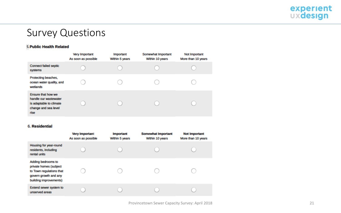

#### **5. Public Health Related**

|                                                                                                        | Very Important<br>As soon as possible | <b>Important</b><br>Within 5 years | Somewhat Important<br>Within 10 years | Not Important<br>More than 10 years |
|--------------------------------------------------------------------------------------------------------|---------------------------------------|------------------------------------|---------------------------------------|-------------------------------------|
| <b>Connect failed septic</b><br>systems                                                                |                                       |                                    |                                       |                                     |
| Protecting beaches,<br>ocean water quality, and<br>wetlands                                            |                                       |                                    |                                       |                                     |
| Ensure that how we<br>handle our wastewater<br>is adaptable to climate<br>change and sea level<br>rise |                                       |                                    |                                       |                                     |

#### 6. Residential

|                                                                                                                             | <b>Very Important</b><br>As soon as possible | <b>Important</b><br>Within 5 years | <b>Somewhat Important</b><br>Within 10 years | <b>Not Important</b><br>More than 10 years |
|-----------------------------------------------------------------------------------------------------------------------------|----------------------------------------------|------------------------------------|----------------------------------------------|--------------------------------------------|
| Housing for year-round<br>residents, including<br>rental units                                                              |                                              |                                    |                                              |                                            |
| Adding bedrooms to<br>private homes (subject<br>to Town regulations that<br>govern growth and any<br>building improvements) |                                              |                                    |                                              |                                            |
| Extend sewer system to<br>unserved areas                                                                                    |                                              |                                    |                                              |                                            |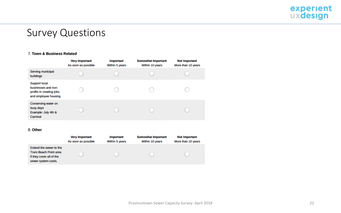

#### 7. Town & Business Related

|                                                                                                 | <b>Very Important</b><br>As soon as possible | <b>Important</b><br>Within 5 years | <b>Somewhat Important</b><br>Within 10 years | <b>Not Important</b><br>More than 10 years |
|-------------------------------------------------------------------------------------------------|----------------------------------------------|------------------------------------|----------------------------------------------|--------------------------------------------|
| Serving municipal<br>buildings                                                                  |                                              |                                    |                                              |                                            |
| <b>Support local</b><br>businesses and non-<br>profits in creating jobs<br>and employee housing |                                              |                                    |                                              |                                            |
| Conserving water on<br>busy days<br>Example: July 4th &<br>Carnival                             |                                              |                                    |                                              |                                            |

#### 8. Other

|                                                                                                             | <b>Very Important</b> | <b>Important</b> | <b>Somewhat Important</b> | <b>Not Important</b> |
|-------------------------------------------------------------------------------------------------------------|-----------------------|------------------|---------------------------|----------------------|
|                                                                                                             | As soon as possible   | Within 5 years   | Within 10 years           | More than 10 years   |
| Extend the sewer to the<br><b>Truro Beach Point area</b><br>if they cover all of the<br>sewer system costs. |                       |                  |                           |                      |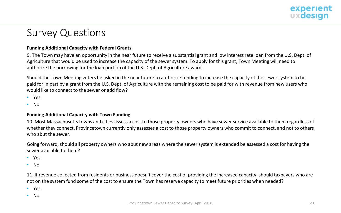

#### **Funding Additional Capacity with Federal Grants**

9. The Town may have an opportunity in the near future to receive a substantial grant and low interest rate loan from the U.S. Dept. of Agriculture that would be used to increase the capacity of the sewer system. To apply for this grant, Town Meeting will need to authorize the borrowing for the loan portion of the U.S. Dept. of Agriculture award.

Should the Town Meeting voters be asked in the near future to authorize funding to increase the capacity of the sewer system to be paid for in part by a grant from the U.S. Dept. of Agriculture with the remaining cost to be paid for with revenue from new users who would like to connect to the sewer or add flow?

- Yes
- No

#### **Funding Additional Capacity with Town Funding**

10. Most Massachusetts towns and cities assess a cost to those property owners who have sewer service available to them regardless of whether they connect. Provincetown currently only assesses a cost to those property owners who commit to connect, and not to others who abut the sewer.

Going forward, should all property owners who abut new areas where the sewer system is extended be assessed a cost for having the sewer available to them?

- Yes
- No

11. If revenue collected from residents or business doesn't cover the cost of providing the increased capacity, should taxpayers who are not on the system fund some of the cost to ensure the Town has reserve capacity to meet future priorities when needed?

- Yes
- No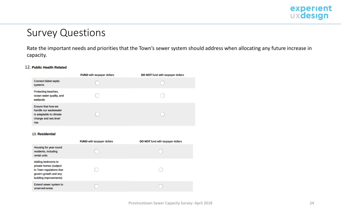

Rate the important needs and priorities that the Town's sewer system should address when allocating any future increase in capacity.

#### 12. Public Health Related

|                                                                                                        | FUND with taxpayer dollars | DO NOT fund with taxpayer dollars |
|--------------------------------------------------------------------------------------------------------|----------------------------|-----------------------------------|
| <b>Connect failed septic</b><br>systems                                                                |                            |                                   |
| Protecting beaches,<br>ocean water quality, and<br>wetlands                                            |                            |                                   |
| Ensure that how we<br>handle our wastewater<br>is adaptable to climate<br>change and sea level<br>rise |                            |                                   |

#### 13. Residential

|                                                                                                                             | FUND with taxpayer dollars | DO NOT fund with taxpayer dollars |
|-----------------------------------------------------------------------------------------------------------------------------|----------------------------|-----------------------------------|
| Housing for year-round<br>residents, including<br>rental units                                                              |                            |                                   |
| Adding bedrooms to<br>private homes (subject<br>to Town regulations that<br>govern growth and any<br>building improvements) |                            |                                   |
| Extend sewer system to<br>unserved areas                                                                                    |                            |                                   |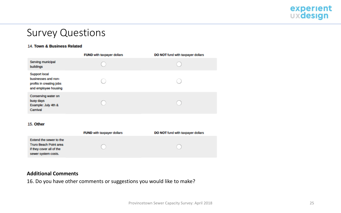

#### 14. Town & Business Related

|                                                                                                 | FUND with taxpayer dollars | DO NOT fund with taxpayer dollars |
|-------------------------------------------------------------------------------------------------|----------------------------|-----------------------------------|
| Serving municipal<br>buildings                                                                  |                            |                                   |
| <b>Support local</b><br>businesses and non-<br>profits in creating jobs<br>and employee housing |                            |                                   |
| Conserving water on<br>busy days<br>Example: July 4th &<br>Carnival                             |                            |                                   |

#### 15. Other

|                                                                                                             | <b>FUND</b> with taxpayer dollars | DO NOT fund with taxpayer dollars |
|-------------------------------------------------------------------------------------------------------------|-----------------------------------|-----------------------------------|
| Extend the sewer to the<br><b>Truro Beach Point area</b><br>if they cover all of the<br>sewer system costs. |                                   |                                   |

#### **Additional Comments**

16. Do you have other comments or suggestions you would like to make?